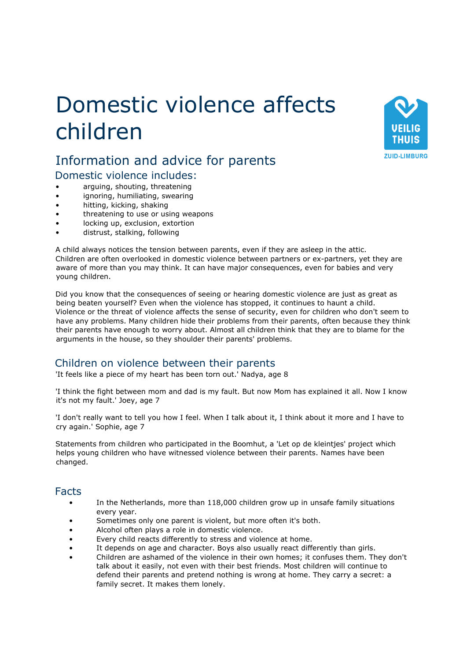# Domestic violence affects children



## Information and advice for parents Domestic violence includes:

- arguing, shouting, threatening
- ignoring, humiliating, swearing
- hitting, kicking, shaking
- threatening to use or using weapons
- locking up, exclusion, extortion
- distrust, stalking, following

A child always notices the tension between parents, even if they are asleep in the attic. Children are often overlooked in domestic violence between partners or ex-partners, yet they are aware of more than you may think. It can have major consequences, even for babies and very young children.

Did you know that the consequences of seeing or hearing domestic violence are just as great as being beaten yourself? Even when the violence has stopped, it continues to haunt a child. Violence or the threat of violence affects the sense of security, even for children who don't seem to have any problems. Many children hide their problems from their parents, often because they think their parents have enough to worry about. Almost all children think that they are to blame for the arguments in the house, so they shoulder their parents' problems.

## Children on violence between their parents

'It feels like a piece of my heart has been torn out.' Nadya, age 8

'I think the fight between mom and dad is my fault. But now Mom has explained it all. Now I know it's not my fault.' Joey, age 7

'I don't really want to tell you how I feel. When I talk about it, I think about it more and I have to cry again.' Sophie, age 7

Statements from children who participated in the Boomhut, a 'Let op de kleintjes' project which helps young children who have witnessed violence between their parents. Names have been changed.

#### Facts

- In the Netherlands, more than 118,000 children grow up in unsafe family situations every year.
- Sometimes only one parent is violent, but more often it's both.
- Alcohol often plays a role in domestic violence.
- Every child reacts differently to stress and violence at home.
- It depends on age and character. Boys also usually react differently than girls.
- Children are ashamed of the violence in their own homes; it confuses them. They don't talk about it easily, not even with their best friends. Most children will continue to defend their parents and pretend nothing is wrong at home. They carry a secret: a family secret. It makes them lonely.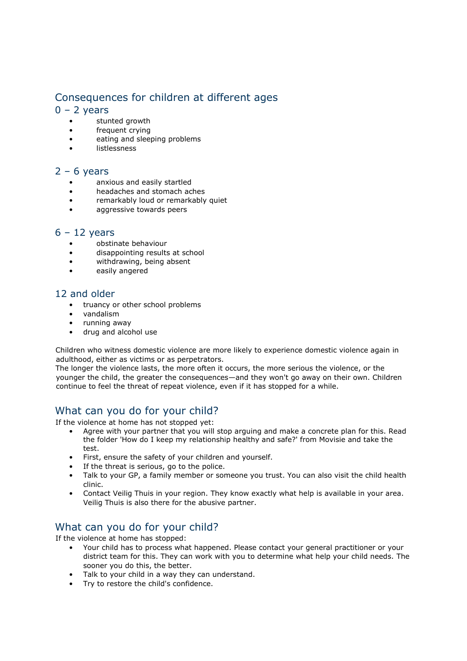## Consequences for children at different ages

#### $0 - 2$  years

- stunted growth
- frequent crying
- eating and sleeping problems
- **listlessness**

#### $2 - 6$  years

- anxious and easily startled
- headaches and stomach aches
- remarkably loud or remarkably quiet
- aggressive towards peers

#### $6 - 12$  years

- obstinate behaviour
- disappointing results at school
- withdrawing, being absent
- easily angered

#### 12 and older

- truancy or other school problems
- vandalism
- running away
- drug and alcohol use

Children who witness domestic violence are more likely to experience domestic violence again in adulthood, either as victims or as perpetrators.

The longer the violence lasts, the more often it occurs, the more serious the violence, or the younger the child, the greater the consequences—and they won't go away on their own. Children continue to feel the threat of repeat violence, even if it has stopped for a while.

## What can you do for your child?

If the violence at home has not stopped yet:

- Agree with your partner that you will stop arguing and make a concrete plan for this. Read the folder 'How do I keep my relationship healthy and safe?' from Movisie and take the test.
- First, ensure the safety of your children and yourself.
- If the threat is serious, go to the police.
- Talk to your GP, a family member or someone you trust. You can also visit the child health clinic.
- Contact Veilig Thuis in your region. They know exactly what help is available in your area. Veilig Thuis is also there for the abusive partner.

## What can you do for your child?

If the violence at home has stopped:

- Your child has to process what happened. Please contact your general practitioner or your district team for this. They can work with you to determine what help your child needs. The sooner you do this, the better.
- Talk to your child in a way they can understand.
- Try to restore the child's confidence.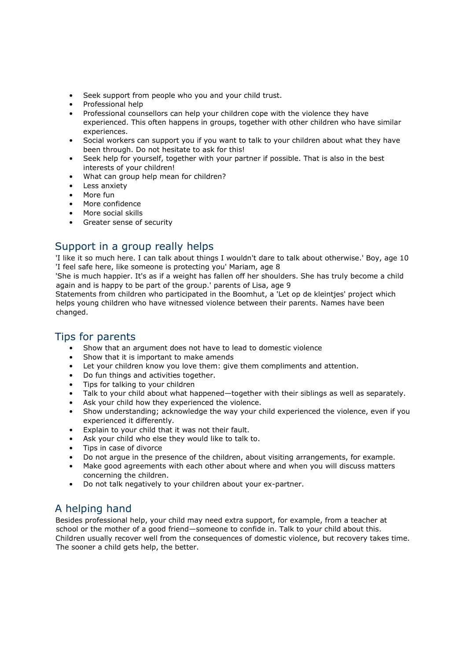- Seek support from people who you and your child trust.
- Professional help
- Professional counsellors can help your children cope with the violence they have experienced. This often happens in groups, together with other children who have similar experiences.
- Social workers can support you if you want to talk to your children about what they have been through. Do not hesitate to ask for this!
- Seek help for yourself, together with your partner if possible. That is also in the best interests of your children!
- What can group help mean for children?
- Less anxiety
- More fun
- More confidence
- More social skills
- Greater sense of security

## Support in a group really helps

'I like it so much here. I can talk about things I wouldn't dare to talk about otherwise.' Boy, age 10 'I feel safe here, like someone is protecting you' Mariam, age 8

'She is much happier. It's as if a weight has fallen off her shoulders. She has truly become a child again and is happy to be part of the group.' parents of Lisa, age 9

Statements from children who participated in the Boomhut, a 'Let op de kleintjes' project which helps young children who have witnessed violence between their parents. Names have been changed.

## Tips for parents

- Show that an argument does not have to lead to domestic violence
- Show that it is important to make amends
- Let your children know you love them: give them compliments and attention.
- Do fun things and activities together.
- Tips for talking to your children
- Talk to your child about what happened—together with their siblings as well as separately.
- Ask your child how they experienced the violence.
- Show understanding; acknowledge the way your child experienced the violence, even if you experienced it differently.
- Explain to your child that it was not their fault.
- Ask your child who else they would like to talk to.
- Tips in case of divorce
- Do not argue in the presence of the children, about visiting arrangements, for example.
- Make good agreements with each other about where and when you will discuss matters concerning the children.
- Do not talk negatively to your children about your ex-partner.

## A helping hand

Besides professional help, your child may need extra support, for example, from a teacher at school or the mother of a good friend—someone to confide in. Talk to your child about this. Children usually recover well from the consequences of domestic violence, but recovery takes time. The sooner a child gets help, the better.